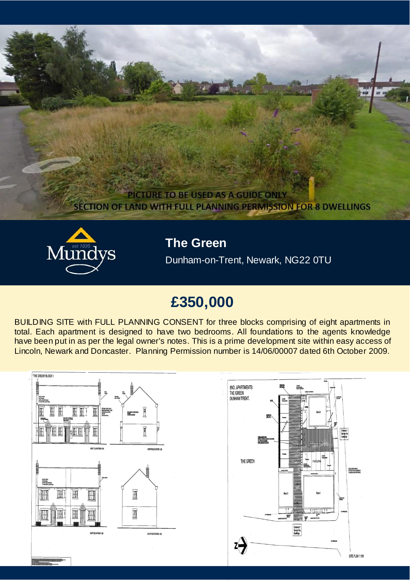



**The Green**

Dunham-on-Trent, Newark, NG22 0TU

# **£350,000**

BUILDING SITE with FULL PLANNING CONSENT for three blocks comprising of eight apartments in total. Each apartment is designed to have two bedrooms. All foundations to the agents knowledge have been put in as per the legal owner's notes. This is a prime development site within easy access of Lincoln, Newark and Doncaster. Planning Permission number is 14/06/00007 dated 6th October 2009.